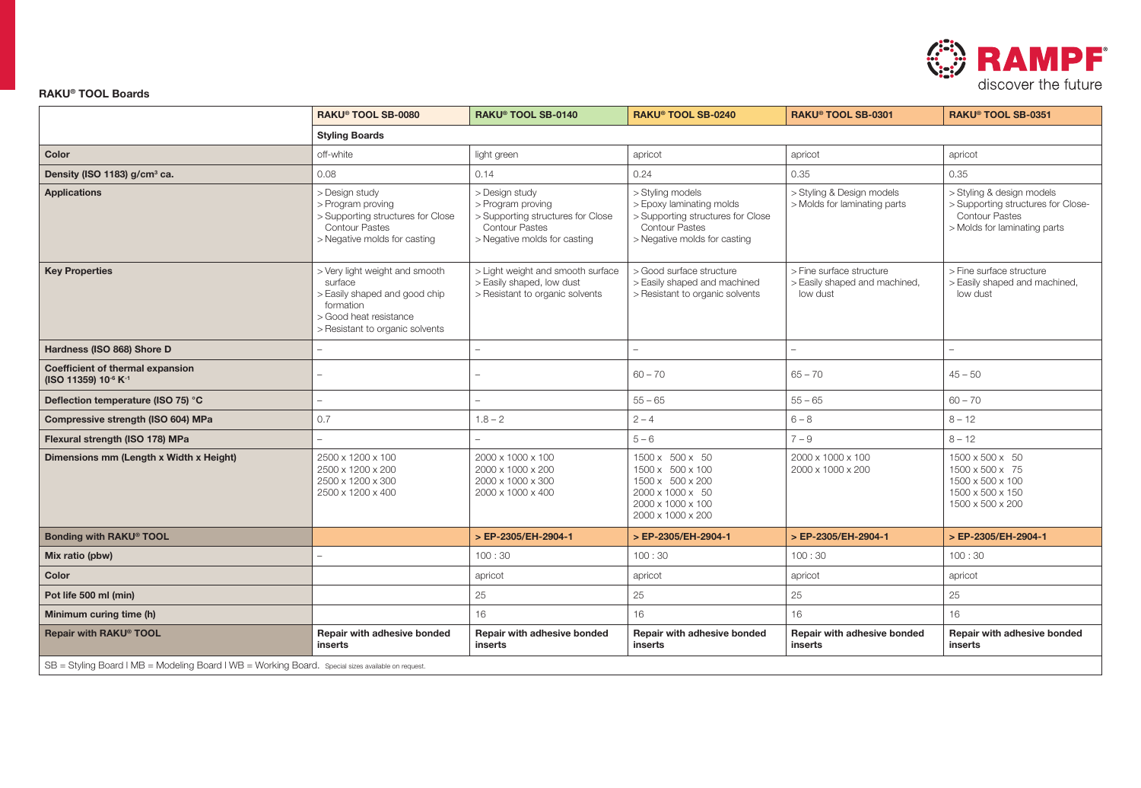

## RAKU® TOOL Boards

|                                                                                                   | RAKU® TOOL SB-0080                                                                                                                                   | RAKU® TOOL SB-0140<br>RAKU® TOOL SB-0240                                                                                          |                                                                                                                                            | RAKU® TOOL SB-0301                                                    | RAKU® TOOL SB-0351                                                                                                       |  |  |  |
|---------------------------------------------------------------------------------------------------|------------------------------------------------------------------------------------------------------------------------------------------------------|-----------------------------------------------------------------------------------------------------------------------------------|--------------------------------------------------------------------------------------------------------------------------------------------|-----------------------------------------------------------------------|--------------------------------------------------------------------------------------------------------------------------|--|--|--|
|                                                                                                   | <b>Styling Boards</b>                                                                                                                                |                                                                                                                                   |                                                                                                                                            |                                                                       |                                                                                                                          |  |  |  |
| Color                                                                                             | off-white                                                                                                                                            | light green                                                                                                                       | apricot                                                                                                                                    | apricot                                                               | apricot                                                                                                                  |  |  |  |
| Density (ISO 1183) g/cm <sup>3</sup> ca.                                                          | 0.08                                                                                                                                                 | 0.14                                                                                                                              | 0.24                                                                                                                                       | 0.35                                                                  | 0.35                                                                                                                     |  |  |  |
| <b>Applications</b>                                                                               | > Design study<br>> Program proving<br>> Supporting structures for Close<br><b>Contour Pastes</b><br>> Negative molds for casting                    | > Design study<br>> Program proving<br>> Supporting structures for Close<br><b>Contour Pastes</b><br>> Negative molds for casting | > Styling models<br>> Epoxy laminating molds<br>> Supporting structures for Close<br><b>Contour Pastes</b><br>> Negative molds for casting | > Styling & Design models<br>> Molds for laminating parts             | > Styling & design models<br>> Supporting structures for Close-<br><b>Contour Pastes</b><br>> Molds for laminating parts |  |  |  |
| <b>Key Properties</b>                                                                             | > Very light weight and smooth<br>surface<br>> Easily shaped and good chip<br>formation<br>> Good heat resistance<br>> Resistant to organic solvents | > Light weight and smooth surface<br>> Easily shaped, low dust<br>> Resistant to organic solvents                                 | > Good surface structure<br>> Easily shaped and machined<br>> Resistant to organic solvents                                                | > Fine surface structure<br>> Easily shaped and machined,<br>low dust | > Fine surface structure<br>> Easily shaped and machined,<br>low dust                                                    |  |  |  |
| Hardness (ISO 868) Shore D                                                                        |                                                                                                                                                      |                                                                                                                                   |                                                                                                                                            |                                                                       |                                                                                                                          |  |  |  |
| Coefficient of thermal expansion<br>(ISO 11359) 10-6 K-1                                          |                                                                                                                                                      |                                                                                                                                   | $60 - 70$                                                                                                                                  | $65 - 70$                                                             | $45 - 50$                                                                                                                |  |  |  |
| Deflection temperature (ISO 75) °C                                                                |                                                                                                                                                      |                                                                                                                                   | $55 - 65$                                                                                                                                  | $55 - 65$                                                             | $60 - 70$                                                                                                                |  |  |  |
| Compressive strength (ISO 604) MPa                                                                | 0.7                                                                                                                                                  | $1.8 - 2$                                                                                                                         | $2 - 4$                                                                                                                                    | $6 - 8$                                                               | $8 - 12$                                                                                                                 |  |  |  |
| Flexural strength (ISO 178) MPa                                                                   |                                                                                                                                                      |                                                                                                                                   | $5 - 6$                                                                                                                                    | $7 - 9$                                                               | $8 - 12$                                                                                                                 |  |  |  |
| Dimensions mm (Length x Width x Height)                                                           | 2500 x 1200 x 100<br>2500 x 1200 x 200<br>2500 x 1200 x 300<br>2500 x 1200 x 400                                                                     | 2000 x 1000 x 100<br>2000 x 1000 x 200<br>2000 x 1000 x 300<br>2000 x 1000 x 400                                                  | 1500 x 500 x 50<br>1500 x 500 x 100<br>1500 x 500 x 200<br>2000 x 1000 x 50<br>2000 x 1000 x 100<br>2000 x 1000 x 200                      | 2000 x 1000 x 100<br>2000 x 1000 x 200                                | 1500 x 500 x 50<br>1500 x 500 x 75<br>1500 x 500 x 100<br>1500 x 500 x 150<br>1500 x 500 x 200                           |  |  |  |
| Bonding with RAKU® TOOL                                                                           |                                                                                                                                                      | > EP-2305/EH-2904-1                                                                                                               | > EP-2305/EH-2904-1                                                                                                                        | > EP-2305/EH-2904-1                                                   | > EP-2305/EH-2904-1                                                                                                      |  |  |  |
| Mix ratio (pbw)                                                                                   |                                                                                                                                                      | 100:30                                                                                                                            | 100:30                                                                                                                                     | 100:30                                                                | 100:30                                                                                                                   |  |  |  |
| Color                                                                                             |                                                                                                                                                      | apricot                                                                                                                           | apricot                                                                                                                                    | apricot                                                               | apricot                                                                                                                  |  |  |  |
| Pot life 500 ml (min)                                                                             |                                                                                                                                                      | 25                                                                                                                                | 25                                                                                                                                         | 25                                                                    | 25                                                                                                                       |  |  |  |
| Minimum curing time (h)                                                                           |                                                                                                                                                      | 16                                                                                                                                | 16                                                                                                                                         | 16                                                                    | 16                                                                                                                       |  |  |  |
| Repair with RAKU® TOOL                                                                            | Repair with adhesive bonded<br>inserts                                                                                                               | Repair with adhesive bonded<br>inserts                                                                                            | Repair with adhesive bonded<br>inserts                                                                                                     | Repair with adhesive bonded<br>inserts                                |                                                                                                                          |  |  |  |
| SB = Styling Board   MB = Modeling Board   WB = Working Board. Special sizes available on request |                                                                                                                                                      |                                                                                                                                   |                                                                                                                                            |                                                                       |                                                                                                                          |  |  |  |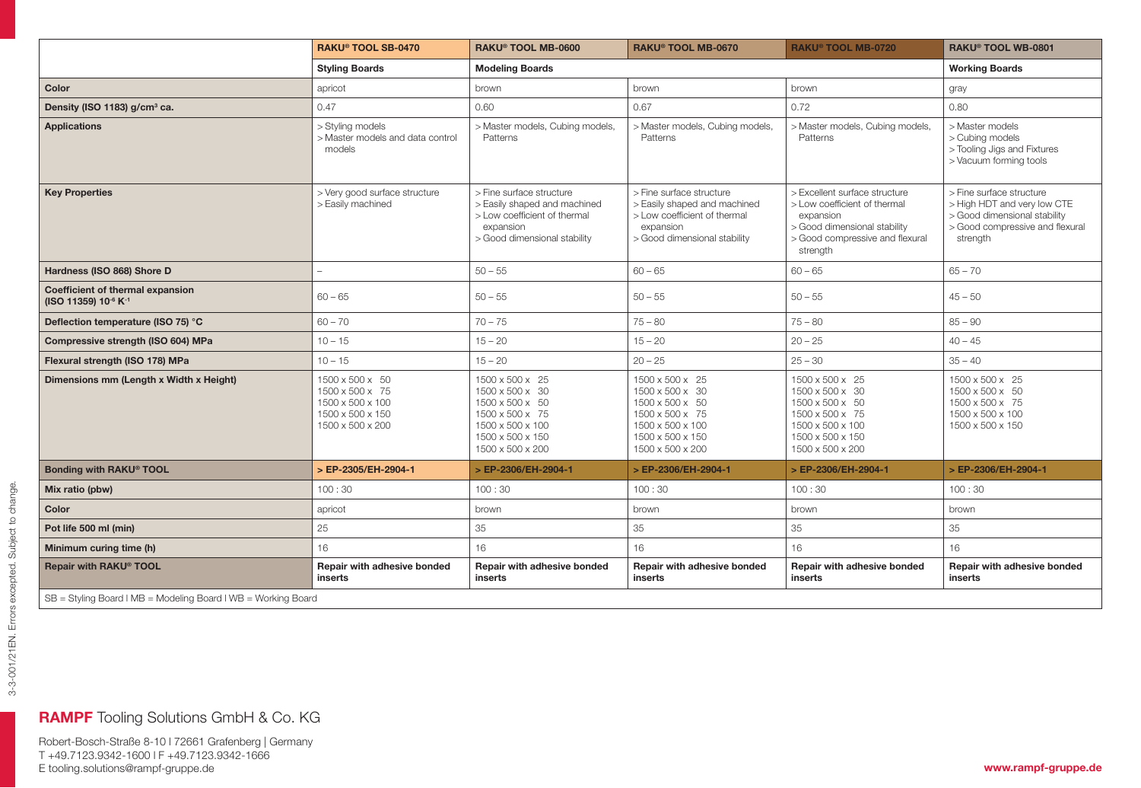|                                                               | RAKU® TOOL SB-0470                                                                             | RAKU® TOOL MB-0600                                                                                                                    | <b>RAKU® TOOL MB-0720</b><br><b>RAKU<sup>®</sup> TOOL MB-0670</b>                                                                     |                                                                                                                                                           | RAKU <sup>®</sup> TOOL WB-0801                                                                                                         |  |  |
|---------------------------------------------------------------|------------------------------------------------------------------------------------------------|---------------------------------------------------------------------------------------------------------------------------------------|---------------------------------------------------------------------------------------------------------------------------------------|-----------------------------------------------------------------------------------------------------------------------------------------------------------|----------------------------------------------------------------------------------------------------------------------------------------|--|--|
|                                                               | <b>Styling Boards</b>                                                                          | <b>Modeling Boards</b>                                                                                                                |                                                                                                                                       |                                                                                                                                                           | <b>Working Boards</b>                                                                                                                  |  |  |
| Color                                                         | apricot                                                                                        | brown                                                                                                                                 | brown                                                                                                                                 | brown                                                                                                                                                     | gray                                                                                                                                   |  |  |
| Density (ISO 1183) g/cm <sup>3</sup> ca.                      | 0.47                                                                                           | 0.60                                                                                                                                  | 0.67                                                                                                                                  | 0.72                                                                                                                                                      | 0.80                                                                                                                                   |  |  |
| <b>Applications</b>                                           | > Styling models<br>> Master models and data control<br>models                                 | > Master models, Cubing models,<br>Patterns                                                                                           | > Master models, Cubing models,<br>Patterns                                                                                           | > Master models, Cubing models,<br>Patterns                                                                                                               | > Master models<br>> Cubing models<br>> Tooling Jigs and Fixtures<br>> Vacuum forming tools                                            |  |  |
| <b>Key Properties</b>                                         | > Very good surface structure<br>> Easily machined                                             | > Fine surface structure<br>> Easily shaped and machined<br>> Low coefficient of thermal<br>expansion<br>> Good dimensional stability | > Fine surface structure<br>> Easily shaped and machined<br>> Low coefficient of thermal<br>expansion<br>> Good dimensional stability | > Excellent surface structure<br>> Low coefficient of thermal<br>expansion<br>> Good dimensional stability<br>> Good compressive and flexural<br>strength | > Fine surface structure<br>> High HDT and very low CTE<br>> Good dimensional stability<br>> Good compressive and flexural<br>strength |  |  |
| Hardness (ISO 868) Shore D                                    |                                                                                                | $50 - 55$                                                                                                                             | $60 - 65$                                                                                                                             | $60 - 65$                                                                                                                                                 | $65 - 70$                                                                                                                              |  |  |
| Coefficient of thermal expansion<br>(ISO 11359) 10-6 K-1      | $60 - 65$                                                                                      | $50 - 55$                                                                                                                             | $50 - 55$                                                                                                                             | $50 - 55$                                                                                                                                                 | $45 - 50$                                                                                                                              |  |  |
| Deflection temperature (ISO 75) °C                            | $60 - 70$                                                                                      | $70 - 75$                                                                                                                             | $75 - 80$                                                                                                                             | $75 - 80$                                                                                                                                                 | $85 - 90$                                                                                                                              |  |  |
| Compressive strength (ISO 604) MPa                            | $10 - 15$                                                                                      | $15 - 20$                                                                                                                             | $15 - 20$                                                                                                                             | $20 - 25$                                                                                                                                                 | $40 - 45$                                                                                                                              |  |  |
| Flexural strength (ISO 178) MPa                               | $10 - 15$                                                                                      | $15 - 20$                                                                                                                             | $20 - 25$                                                                                                                             | $25 - 30$                                                                                                                                                 | $35 - 40$                                                                                                                              |  |  |
| Dimensions mm (Length x Width x Height)                       | 1500 x 500 x 50<br>1500 x 500 x 75<br>1500 x 500 x 100<br>1500 x 500 x 150<br>1500 x 500 x 200 | 1500 x 500 x 25<br>1500 x 500 x 30<br>1500 x 500 x 50<br>1500 x 500 x 75<br>1500 x 500 x 100<br>1500 x 500 x 150<br>1500 x 500 x 200  | 1500 x 500 x 25<br>1500 x 500 x 30<br>1500 x 500 x 50<br>1500 x 500 x 75<br>1500 x 500 x 100<br>1500 x 500 x 150<br>1500 x 500 x 200  | 1500 x 500 x 25<br>1500 x 500 x 30<br>1500 x 500 x 50<br>1500 x 500 x 75<br>1500 x 500 x 100<br>1500 x 500 x 150<br>1500 x 500 x 200                      | 1500 x 500 x 25<br>1500 x 500 x 50<br>1500 x 500 x 75<br>1500 x 500 x 100<br>1500 x 500 x 150                                          |  |  |
| Bonding with RAKU® TOOL                                       | > EP-2305/EH-2904-1                                                                            | > EP-2306/EH-2904-1                                                                                                                   | > EP-2306/EH-2904-1                                                                                                                   | > EP-2306/EH-2904-1                                                                                                                                       | > EP-2306/EH-2904-1                                                                                                                    |  |  |
| Mix ratio (pbw)                                               | 100:30                                                                                         | 100:30                                                                                                                                | 100:30                                                                                                                                | 100:30                                                                                                                                                    | 100:30                                                                                                                                 |  |  |
| Color                                                         | apricot                                                                                        | brown                                                                                                                                 | brown                                                                                                                                 | brown                                                                                                                                                     | brown                                                                                                                                  |  |  |
| Pot life 500 ml (min)                                         | 25                                                                                             | 35                                                                                                                                    | 35                                                                                                                                    | 35                                                                                                                                                        | 35                                                                                                                                     |  |  |
| Minimum curing time (h)                                       | 16                                                                                             | 16                                                                                                                                    | 16                                                                                                                                    | 16                                                                                                                                                        | 16                                                                                                                                     |  |  |
| Repair with RAKU <sup>®</sup> TOOL                            | <b>Repair with adhesive bonded</b><br>inserts                                                  | Repair with adhesive bonded<br>inserts                                                                                                | Repair with adhesive bonded<br>Repair with adhesive bonded<br>inserts<br>inserts                                                      |                                                                                                                                                           | Repair with adhesive bonded<br>inserts                                                                                                 |  |  |
| SB = Styling Board   MB = Modeling Board   WB = Working Board |                                                                                                |                                                                                                                                       |                                                                                                                                       |                                                                                                                                                           |                                                                                                                                        |  |  |

## RAMPF Tooling Solutions GmbH & Co. KG

Robert-Bosch-Straße 8-10 l 72661 Grafenberg | Germany T +49.7123.9342-1600 l F +49.7123.9342-1666 E tooling.solutions@rampf-gruppe.de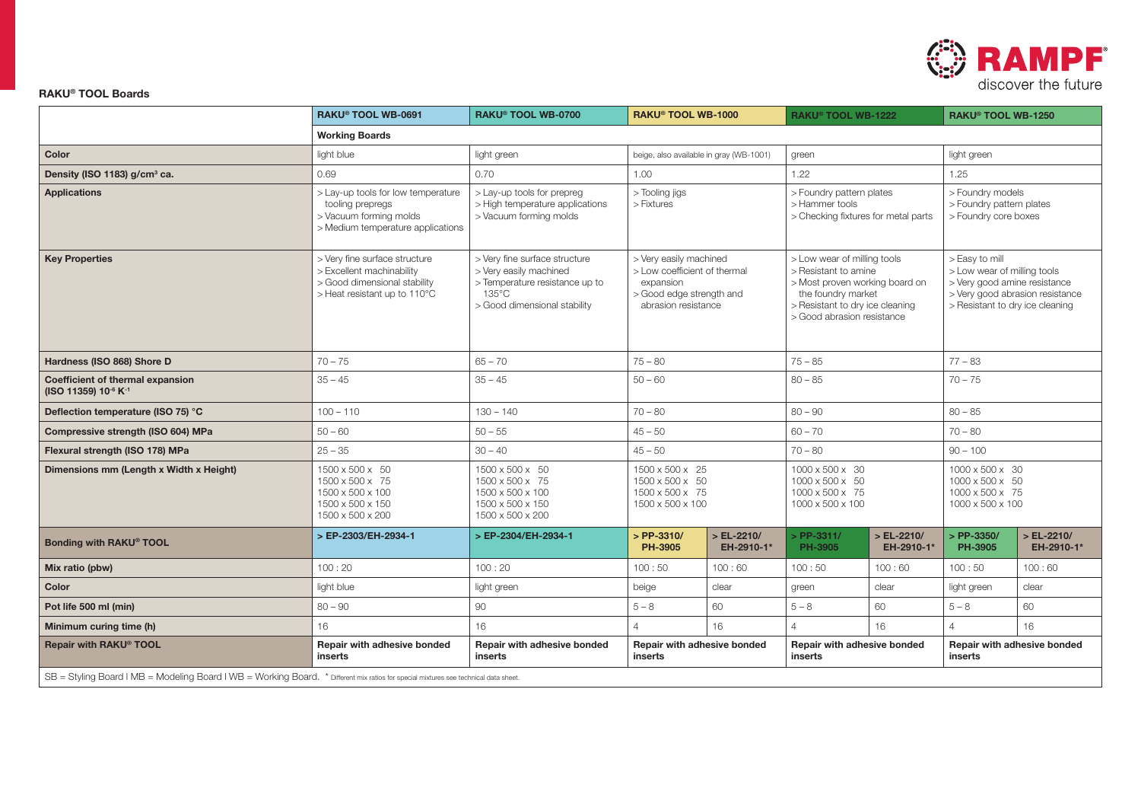

## RAKU® TOOL Boards

|                                                                                                                                      | RAKU® TOOL WB-0691                                                                                                         | <b>RAKU® TOOL WB-0700</b>                                                                                                          | RAKU® TOOL WB-1000                                                                                                     |                                                                                   | RAKU® TOOL WB-1222                                                                                                                                                           |                                                                      | RAKU® TOOL WB-1250                                                                                                                                  |                           |  |
|--------------------------------------------------------------------------------------------------------------------------------------|----------------------------------------------------------------------------------------------------------------------------|------------------------------------------------------------------------------------------------------------------------------------|------------------------------------------------------------------------------------------------------------------------|-----------------------------------------------------------------------------------|------------------------------------------------------------------------------------------------------------------------------------------------------------------------------|----------------------------------------------------------------------|-----------------------------------------------------------------------------------------------------------------------------------------------------|---------------------------|--|
|                                                                                                                                      | <b>Working Boards</b>                                                                                                      |                                                                                                                                    |                                                                                                                        |                                                                                   |                                                                                                                                                                              |                                                                      |                                                                                                                                                     |                           |  |
| Color                                                                                                                                | light blue                                                                                                                 | light green                                                                                                                        | beige, also available in gray (WB-1001)                                                                                |                                                                                   | green                                                                                                                                                                        |                                                                      | light green                                                                                                                                         |                           |  |
| Density (ISO 1183) g/cm <sup>3</sup> ca.                                                                                             | 0.69                                                                                                                       | 0.70                                                                                                                               | 1.00                                                                                                                   |                                                                                   | 1.22                                                                                                                                                                         |                                                                      | 1.25                                                                                                                                                |                           |  |
| <b>Applications</b>                                                                                                                  | > Lay-up tools for low temperature<br>tooling prepregs<br>> Vacuum forming molds<br>> Medium temperature applications      | > Lay-up tools for prepreg<br>> Tooling jigs<br>> High temperature applications<br>> Fixtures<br>> Vacuum forming molds            |                                                                                                                        | > Foundry pattern plates<br>> Hammer tools<br>> Checking fixtures for metal parts |                                                                                                                                                                              | > Foundry models<br>> Foundry pattern plates<br>> Foundry core boxes |                                                                                                                                                     |                           |  |
| <b>Key Properties</b>                                                                                                                | > Very fine surface structure<br>> Excellent machinability<br>> Good dimensional stability<br>> Heat resistant up to 110°C | > Very fine surface structure<br>> Very easily machined<br>> Temperature resistance up to<br>135°C<br>> Good dimensional stability | > Very easily machined<br>> Low coefficient of thermal<br>expansion<br>> Good edge strength and<br>abrasion resistance |                                                                                   | > Low wear of milling tools<br>> Resistant to amine<br>> Most proven working board on<br>the foundry market<br>> Resistant to dry ice cleaning<br>> Good abrasion resistance |                                                                      | > Easy to mill<br>> Low wear of milling tools<br>> Very good amine resistance<br>> Very good abrasion resistance<br>> Resistant to dry ice cleaning |                           |  |
| Hardness (ISO 868) Shore D                                                                                                           | $70 - 75$                                                                                                                  | $65 - 70$                                                                                                                          | $75 - 80$                                                                                                              |                                                                                   | $75 - 85$                                                                                                                                                                    |                                                                      | $77 - 83$                                                                                                                                           |                           |  |
| <b>Coefficient of thermal expansion</b><br>(ISO 11359) 10 <sup>-6</sup> K <sup>-1</sup>                                              | $35 - 45$                                                                                                                  | $35 - 45$                                                                                                                          | $50 - 60$                                                                                                              |                                                                                   | $80 - 85$                                                                                                                                                                    |                                                                      | $70 - 75$                                                                                                                                           |                           |  |
| Deflection temperature (ISO 75) °C                                                                                                   | $100 - 110$                                                                                                                | $130 - 140$                                                                                                                        | $70 - 80$                                                                                                              |                                                                                   | $80 - 90$                                                                                                                                                                    |                                                                      | $80 - 85$                                                                                                                                           |                           |  |
| Compressive strength (ISO 604) MPa                                                                                                   | $50 - 60$                                                                                                                  | $50 - 55$                                                                                                                          | $45 - 50$                                                                                                              |                                                                                   | $60 - 70$                                                                                                                                                                    |                                                                      | $70 - 80$                                                                                                                                           |                           |  |
| Flexural strength (ISO 178) MPa                                                                                                      | $25 - 35$                                                                                                                  | $30 - 40$                                                                                                                          | $45 - 50$                                                                                                              |                                                                                   | $70 - 80$                                                                                                                                                                    |                                                                      | $90 - 100$                                                                                                                                          |                           |  |
| Dimensions mm (Length x Width x Height)                                                                                              | 1500 x 500 x 50<br>1500 x 500 x 75<br>1500 x 500 x 100<br>1500 x 500 x 150<br>1500 x 500 x 200                             | 1500 x 500 x 50<br>1500 x 500 x 75<br>1500 x 500 x 100<br>1500 x 500 x 150<br>1500 x 500 x 200                                     | 1500 x 500 x 25<br>1500 x 500 x 50<br>1500 x 500 x 75<br>1500 x 500 x 100                                              |                                                                                   | 1000 x 500 x 30<br>$1000 \times 500 \times 50$<br>$1000 \times 500 \times 75$<br>1000 x 500 x 100                                                                            |                                                                      | $1000 \times 500 \times 30$<br>1000 x 500 x 50<br>$1000 \times 500 \times 75$<br>1000 x 500 x 100                                                   |                           |  |
| Bonding with RAKU <sup>®</sup> TOOL                                                                                                  | > EP-2303/EH-2934-1                                                                                                        | > EP-2304/EH-2934-1                                                                                                                | > PP-3310/<br>PH-3905                                                                                                  | $>EL-2210/$<br>EH-2910-1*                                                         | $>$ PP-3311/<br>PH-3905                                                                                                                                                      | $>EL-2210/$<br>EH-2910-1*                                            | > PP-3350/<br>PH-3905                                                                                                                               | $>EL-2210/$<br>EH-2910-1* |  |
| Mix ratio (pbw)                                                                                                                      | 100:20                                                                                                                     | 100:20                                                                                                                             | 100:50                                                                                                                 | 100:60                                                                            | 100:50                                                                                                                                                                       | 100:60                                                               | 100:50                                                                                                                                              | 100:60                    |  |
| Color                                                                                                                                | light blue                                                                                                                 | light green                                                                                                                        | beige                                                                                                                  | clear                                                                             | green                                                                                                                                                                        | clear                                                                | light green                                                                                                                                         | clear                     |  |
| Pot life 500 ml (min)                                                                                                                | $80 - 90$                                                                                                                  | 90                                                                                                                                 | $5 - 8$                                                                                                                | 60                                                                                | $5 - 8$                                                                                                                                                                      | 60                                                                   | $5 - 8$                                                                                                                                             | 60                        |  |
| Minimum curing time (h)                                                                                                              | 16                                                                                                                         | 16                                                                                                                                 | 4                                                                                                                      | 16                                                                                | $\overline{4}$                                                                                                                                                               | 16                                                                   | $\overline{4}$                                                                                                                                      | 16                        |  |
| Repair with RAKU® TOOL                                                                                                               | Repair with adhesive bonded<br>inserts                                                                                     | Repair with adhesive bonded<br>inserts                                                                                             | <b>Repair with adhesive bonded</b><br>inserts                                                                          |                                                                                   | <b>Repair with adhesive bonded</b><br>inserts                                                                                                                                |                                                                      | Repair with adhesive bonded<br>inserts                                                                                                              |                           |  |
| SB = Styling Board   MB = Modeling Board   WB = Working Board. * Different mix ratios for special mixtures see technical data sheet. |                                                                                                                            |                                                                                                                                    |                                                                                                                        |                                                                                   |                                                                                                                                                                              |                                                                      |                                                                                                                                                     |                           |  |